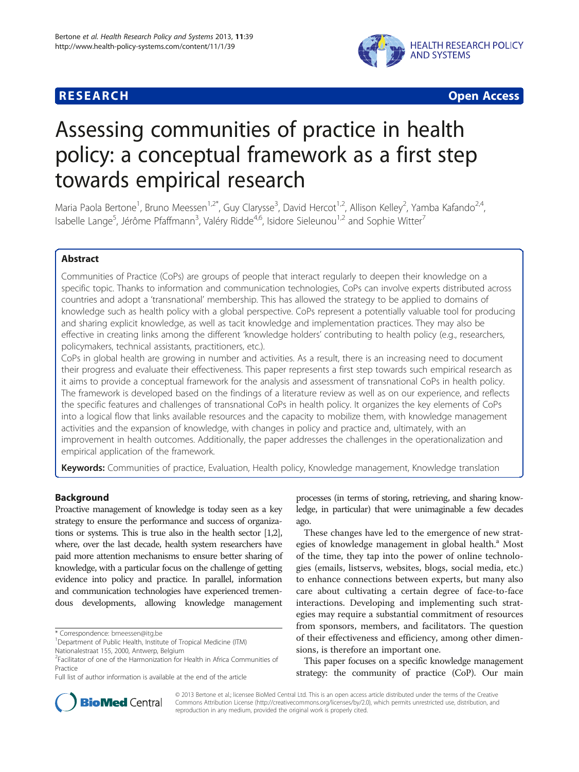

**RESEARCH CHEAR CHEAR CHEAR CHEAR CHEAR CHEAR CHEAR CHEAR CHEAR CHEAR CHEAR CHEAR CHEAR CHEAR CHEAR CHEAR CHEAR** 

# Assessing communities of practice in health policy: a conceptual framework as a first step towards empirical research

Maria Paola Bertone<sup>1</sup>, Bruno Meessen<sup>1,2\*</sup>, Guy Clarysse<sup>3</sup>, David Hercot<sup>1,2</sup>, Allison Kelley<sup>2</sup>, Yamba Kafando<sup>2,4</sup>, Isabelle Lange<sup>5</sup>, Jérôme Pfaffmann<sup>3</sup>, Valéry Ridde<sup>4,6</sup>, Isidore Sieleunou<sup>1,2</sup> and Sophie Witter<sup>7</sup>

#### Abstract

Communities of Practice (CoPs) are groups of people that interact regularly to deepen their knowledge on a specific topic. Thanks to information and communication technologies, CoPs can involve experts distributed across countries and adopt a 'transnational' membership. This has allowed the strategy to be applied to domains of knowledge such as health policy with a global perspective. CoPs represent a potentially valuable tool for producing and sharing explicit knowledge, as well as tacit knowledge and implementation practices. They may also be effective in creating links among the different 'knowledge holders' contributing to health policy (e.g., researchers, policymakers, technical assistants, practitioners, etc.).

CoPs in global health are growing in number and activities. As a result, there is an increasing need to document their progress and evaluate their effectiveness. This paper represents a first step towards such empirical research as it aims to provide a conceptual framework for the analysis and assessment of transnational CoPs in health policy. The framework is developed based on the findings of a literature review as well as on our experience, and reflects the specific features and challenges of transnational CoPs in health policy. It organizes the key elements of CoPs into a logical flow that links available resources and the capacity to mobilize them, with knowledge management activities and the expansion of knowledge, with changes in policy and practice and, ultimately, with an improvement in health outcomes. Additionally, the paper addresses the challenges in the operationalization and empirical application of the framework.

Keywords: Communities of practice, Evaluation, Health policy, Knowledge management, Knowledge translation

#### Background

Proactive management of knowledge is today seen as a key strategy to ensure the performance and success of organizations or systems. This is true also in the health sector [\[1,2\]](#page-11-0), where, over the last decade, health system researchers have paid more attention mechanisms to ensure better sharing of knowledge, with a particular focus on the challenge of getting evidence into policy and practice. In parallel, information and communication technologies have experienced tremendous developments, allowing knowledge management

processes (in terms of storing, retrieving, and sharing knowledge, in particular) that were unimaginable a few decades ago.

These changes have led to the emergence of new strategies of knowledge management in global health.<sup>a</sup> Most of the time, they tap into the power of online technologies (emails, listservs, websites, blogs, social media, etc.) to enhance connections between experts, but many also care about cultivating a certain degree of face-to-face interactions. Developing and implementing such strategies may require a substantial commitment of resources from sponsors, members, and facilitators. The question of their effectiveness and efficiency, among other dimensions, is therefore an important one.

This paper focuses on a specific knowledge management strategy: the community of practice (CoP). Our main



© 2013 Bertone et al.; licensee BioMed Central Ltd. This is an open access article distributed under the terms of the Creative Commons Attribution License [\(http://creativecommons.org/licenses/by/2.0\)](http://creativecommons.org/licenses/by/2.0), which permits unrestricted use, distribution, and reproduction in any medium, provided the original work is properly cited.

<sup>\*</sup> Correspondence: [bmeessen@itg.be](mailto:bmeessen@itg.be) <sup>1</sup>

<sup>&</sup>lt;sup>1</sup> Department of Public Health, Institute of Tropical Medicine (ITM)

Nationalestraat 155, 2000, Antwerp, Belgium

<sup>2</sup> Facilitator of one of the Harmonization for Health in Africa Communities of Practice

Full list of author information is available at the end of the article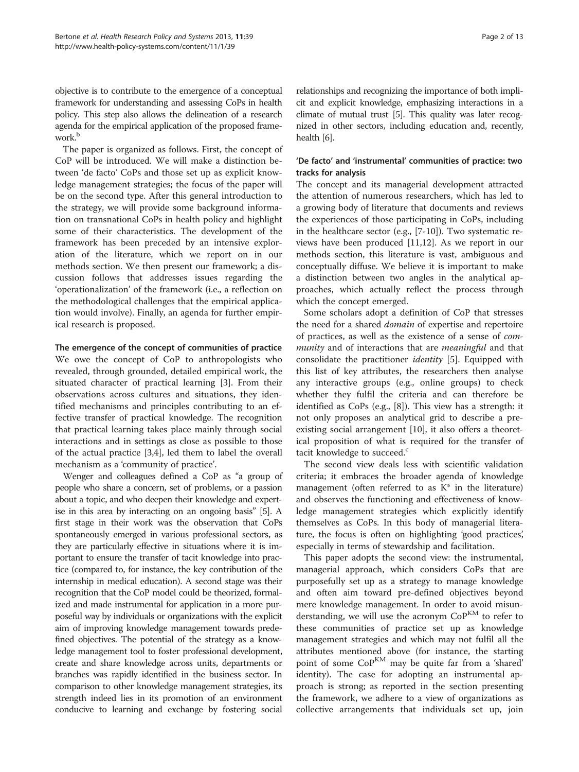objective is to contribute to the emergence of a conceptual framework for understanding and assessing CoPs in health policy. This step also allows the delineation of a research agenda for the empirical application of the proposed framework.<sup>b</sup>

The paper is organized as follows. First, the concept of CoP will be introduced. We will make a distinction between 'de facto' CoPs and those set up as explicit knowledge management strategies; the focus of the paper will be on the second type. After this general introduction to the strategy, we will provide some background information on transnational CoPs in health policy and highlight some of their characteristics. The development of the framework has been preceded by an intensive exploration of the literature, which we report on in our [methods](#page-3-0) section. We then present our framework; a discussion follows that addresses issues regarding the 'operationalization' of the framework (i.e., a reflection on the methodological challenges that the empirical application would involve). Finally, an agenda for further empirical research is proposed.

#### The emergence of the concept of communities of practice

We owe the concept of CoP to anthropologists who revealed, through grounded, detailed empirical work, the situated character of practical learning [[3](#page-11-0)]. From their observations across cultures and situations, they identified mechanisms and principles contributing to an effective transfer of practical knowledge. The recognition that practical learning takes place mainly through social interactions and in settings as close as possible to those of the actual practice [\[3,4](#page-11-0)], led them to label the overall mechanism as a 'community of practice'.

Wenger and colleagues defined a CoP as "a group of people who share a concern, set of problems, or a passion about a topic, and who deepen their knowledge and expertise in this area by interacting on an ongoing basis" [\[5\]](#page-11-0). A first stage in their work was the observation that CoPs spontaneously emerged in various professional sectors, as they are particularly effective in situations where it is important to ensure the transfer of tacit knowledge into practice (compared to, for instance, the key contribution of the internship in medical education). A second stage was their recognition that the CoP model could be theorized, formalized and made instrumental for application in a more purposeful way by individuals or organizations with the explicit aim of improving knowledge management towards predefined objectives. The potential of the strategy as a knowledge management tool to foster professional development, create and share knowledge across units, departments or branches was rapidly identified in the business sector. In comparison to other knowledge management strategies, its strength indeed lies in its promotion of an environment conducive to learning and exchange by fostering social

relationships and recognizing the importance of both implicit and explicit knowledge, emphasizing interactions in a climate of mutual trust [\[5\]](#page-11-0). This quality was later recognized in other sectors, including education and, recently, health [\[6](#page-11-0)].

#### 'De facto' and 'instrumental' communities of practice: two tracks for analysis

The concept and its managerial development attracted the attention of numerous researchers, which has led to a growing body of literature that documents and reviews the experiences of those participating in CoPs, including in the healthcare sector (e.g., [[7-10](#page-11-0)]). Two systematic reviews have been produced [\[11,12\]](#page-11-0). As we report in our [methods](#page-3-0) section, this literature is vast, ambiguous and conceptually diffuse. We believe it is important to make a distinction between two angles in the analytical approaches, which actually reflect the process through which the concept emerged.

Some scholars adopt a definition of CoP that stresses the need for a shared domain of expertise and repertoire of practices, as well as the existence of a sense of community and of interactions that are *meaningful* and that consolidate the practitioner identity [\[5\]](#page-11-0). Equipped with this list of key attributes, the researchers then analyse any interactive groups (e.g., online groups) to check whether they fulfil the criteria and can therefore be identified as CoPs (e.g., [\[8](#page-11-0)]). This view has a strength: it not only proposes an analytical grid to describe a preexisting social arrangement [[10](#page-11-0)], it also offers a theoretical proposition of what is required for the transfer of tacit knowledge to succeed.<sup>c</sup>

The second view deals less with scientific validation criteria; it embraces the broader agenda of knowledge management (often referred to as  $K^*$  in the literature) and observes the functioning and effectiveness of knowledge management strategies which explicitly identify themselves as CoPs. In this body of managerial literature, the focus is often on highlighting 'good practices', especially in terms of stewardship and facilitation.

This paper adopts the second view: the instrumental, managerial approach, which considers CoPs that are purposefully set up as a strategy to manage knowledge and often aim toward pre-defined objectives beyond mere knowledge management. In order to avoid misunderstanding, we will use the acronym  $\mathrm{Co}P^{\mathrm{KM}}$  to refer to these communities of practice set up as knowledge management strategies and which may not fulfil all the attributes mentioned above (for instance, the starting point of some CoPKM may be quite far from a 'shared' identity). The case for adopting an instrumental approach is strong; as reported in the section presenting the framework, we adhere to a view of organizations as collective arrangements that individuals set up, join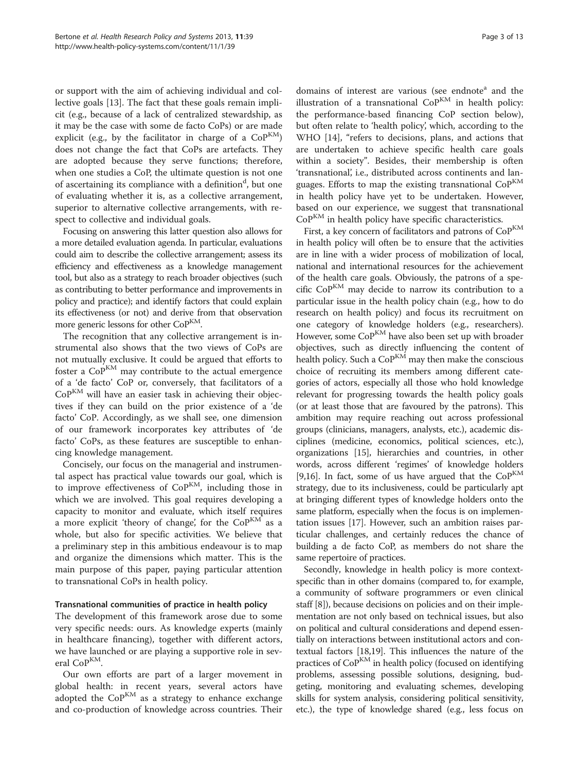or support with the aim of achieving individual and collective goals [\[13](#page-12-0)]. The fact that these goals remain implicit (e.g., because of a lack of centralized stewardship, as it may be the case with some de facto CoPs) or are made explicit (e.g., by the facilitator in charge of a  $CoP^{KM}$ ) does not change the fact that CoPs are artefacts. They are adopted because they serve functions; therefore, when one studies a CoP, the ultimate question is not one of ascertaining its compliance with a definition<sup>d</sup>, but one of evaluating whether it is, as a collective arrangement, superior to alternative collective arrangements, with respect to collective and individual goals.

Focusing on answering this latter question also allows for a more detailed evaluation agenda. In particular, evaluations could aim to describe the collective arrangement; assess its efficiency and effectiveness as a knowledge management tool, but also as a strategy to reach broader objectives (such as contributing to better performance and improvements in policy and practice); and identify factors that could explain its effectiveness (or not) and derive from that observation more generic lessons for other  $CoP^{KM}$ .

The recognition that any collective arrangement is instrumental also shows that the two views of CoPs are not mutually exclusive. It could be argued that efforts to foster a  $CoP<sup>KM</sup>$  may contribute to the actual emergence of a 'de facto' CoP or, conversely, that facilitators of a  $CoP<sup>KM</sup>$  will have an easier task in achieving their objectives if they can build on the prior existence of a 'de facto' CoP. Accordingly, as we shall see, one dimension of our framework incorporates key attributes of 'de facto' CoPs, as these features are susceptible to enhancing knowledge management.

Concisely, our focus on the managerial and instrumental aspect has practical value towards our goal, which is to improve effectiveness of CoP<sup>KM</sup>, including those in which we are involved. This goal requires developing a capacity to monitor and evaluate, which itself requires a more explicit 'theory of change', for the  $CoP^{KM}$  as a whole, but also for specific activities. We believe that a preliminary step in this ambitious endeavour is to map and organize the dimensions which matter. This is the main purpose of this paper, paying particular attention to transnational CoPs in health policy.

#### Transnational communities of practice in health policy

The development of this framework arose due to some very specific needs: ours. As knowledge experts (mainly in healthcare financing), together with different actors, we have launched or are playing a supportive role in several CoP<sup>KM</sup>.

Our own efforts are part of a larger movement in global health: in recent years, several actors have adopted the  $CoP^{KM}$  as a strategy to enhance exchange and co-production of knowledge across countries. Their domains of interest are various (see endnote<sup>a</sup> and the [illustration](#page-3-0) [of](#page-3-0) [a](#page-3-0) [transnational](#page-3-0)  $CoP<sup>KM</sup>$  $CoP<sup>KM</sup>$  [in health policy:](#page-3-0) [the performance-based financing CoP](#page-3-0) section below), but often relate to 'health policy', which, according to the WHO [\[14\]](#page-12-0), "refers to decisions, plans, and actions that are undertaken to achieve specific health care goals within a society". Besides, their membership is often 'transnational', i.e., distributed across continents and languages. Efforts to map the existing transnational  $CoP<sup>KM</sup>$ in health policy have yet to be undertaken. However, based on our experience, we suggest that transnational  $CoP<sup>KM</sup>$  in health policy have specific characteristics.

First, a key concern of facilitators and patrons of  $\mathrm{Co} \mathrm{P}^{\mathrm{KM}}$ in health policy will often be to ensure that the activities are in line with a wider process of mobilization of local, national and international resources for the achievement of the health care goals. Obviously, the patrons of a specific  $CoP<sup>KM</sup>$  may decide to narrow its contribution to a particular issue in the health policy chain (e.g., how to do research on health policy) and focus its recruitment on one category of knowledge holders (e.g., researchers). However, some CoP<sup>KM</sup> have also been set up with broader objectives, such as directly influencing the content of health policy. Such a  $CoP<sup>KM</sup>$  may then make the conscious choice of recruiting its members among different categories of actors, especially all those who hold knowledge relevant for progressing towards the health policy goals (or at least those that are favoured by the patrons). This ambition may require reaching out across professional groups (clinicians, managers, analysts, etc.), academic disciplines (medicine, economics, political sciences, etc.), organizations [\[15\]](#page-12-0), hierarchies and countries, in other words, across different 'regimes' of knowledge holders [[9,](#page-11-0)[16](#page-12-0)]. In fact, some of us have argued that the  $CoP<sup>KM</sup>$ strategy, due to its inclusiveness, could be particularly apt at bringing different types of knowledge holders onto the same platform, especially when the focus is on implementation issues [[17](#page-12-0)]. However, such an ambition raises particular challenges, and certainly reduces the chance of building a de facto CoP, as members do not share the same repertoire of practices.

Secondly, knowledge in health policy is more contextspecific than in other domains (compared to, for example, a community of software programmers or even clinical staff [\[8\]](#page-11-0)), because decisions on policies and on their implementation are not only based on technical issues, but also on political and cultural considerations and depend essentially on interactions between institutional actors and contextual factors [\[18,19](#page-12-0)]. This influences the nature of the practices of CoP<sup>KM</sup> in health policy (focused on identifying problems, assessing possible solutions, designing, budgeting, monitoring and evaluating schemes, developing skills for system analysis, considering political sensitivity, etc.), the type of knowledge shared (e.g., less focus on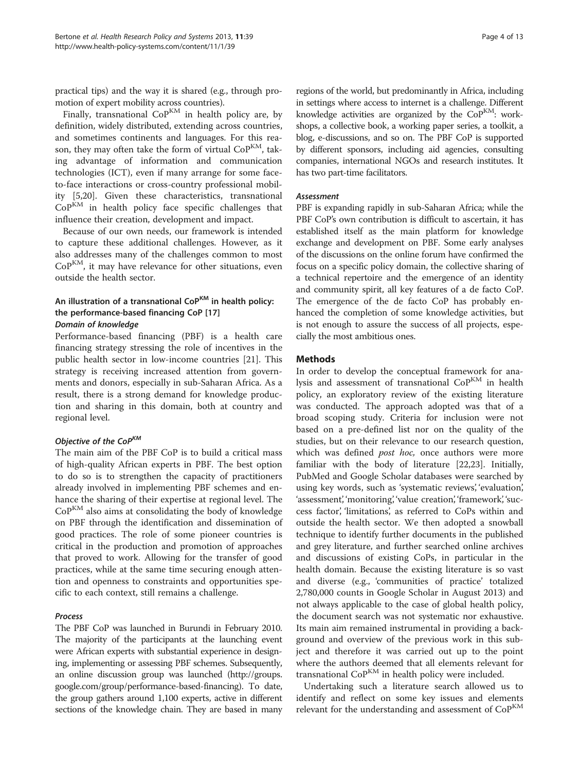<span id="page-3-0"></span>practical tips) and the way it is shared (e.g., through promotion of expert mobility across countries).

Finally, transnational  $CoP^{KM}$  in health policy are, by definition, widely distributed, extending across countries, and sometimes continents and languages. For this reason, they may often take the form of virtual CoP<sup>KM</sup>, taking advantage of information and communication technologies (ICT), even if many arrange for some faceto-face interactions or cross-country professional mobility [[5,](#page-11-0)[20\]](#page-12-0). Given these characteristics, transnational  $CoP<sup>KM</sup>$  in health policy face specific challenges that influence their creation, development and impact.

Because of our own needs, our framework is intended to capture these additional challenges. However, as it also addresses many of the challenges common to most  $CoP<sup>KM</sup>$ , it may have relevance for other situations, even outside the health sector.

## An illustration of a transnational  $\mathsf{Co}^{\mathsf{KM}}$  in health policy: the performance-based financing CoP [[17\]](#page-12-0)

Domain of knowledge

Performance-based financing (PBF) is a health care financing strategy stressing the role of incentives in the public health sector in low-income countries [\[21](#page-12-0)]. This strategy is receiving increased attention from governments and donors, especially in sub-Saharan Africa. As a result, there is a strong demand for knowledge production and sharing in this domain, both at country and regional level.

### Objective of the CoPKM

The main aim of the PBF CoP is to build a critical mass of high-quality African experts in PBF. The best option to do so is to strengthen the capacity of practitioners already involved in implementing PBF schemes and enhance the sharing of their expertise at regional level. The  $CoP<sup>KM</sup>$  also aims at consolidating the body of knowledge on PBF through the identification and dissemination of good practices. The role of some pioneer countries is critical in the production and promotion of approaches that proved to work. Allowing for the transfer of good practices, while at the same time securing enough attention and openness to constraints and opportunities specific to each context, still remains a challenge.

#### Process

The PBF CoP was launched in Burundi in February 2010. The majority of the participants at the launching event were African experts with substantial experience in designing, implementing or assessing PBF schemes. Subsequently, an online discussion group was launched [\(http://groups.](http://groups.google.com/group/performance-based-financing) [google.com/group/performance-based-financing\)](http://groups.google.com/group/performance-based-financing). To date, the group gathers around 1,100 experts, active in different sections of the knowledge chain. They are based in many

regions of the world, but predominantly in Africa, including in settings where access to internet is a challenge. Different knowledge activities are organized by the  $CoP<sup>KM</sup>$ : workshops, a collective book, a working paper series, a toolkit, a blog, e-discussions, and so on. The PBF CoP is supported by different sponsors, including aid agencies, consulting companies, international NGOs and research institutes. It has two part-time facilitators.

#### Assessment

PBF is expanding rapidly in sub-Saharan Africa; while the PBF CoP's own contribution is difficult to ascertain, it has established itself as the main platform for knowledge exchange and development on PBF. Some early analyses of the discussions on the online forum have confirmed the focus on a specific policy domain, the collective sharing of a technical repertoire and the emergence of an identity and community spirit, all key features of a de facto CoP. The emergence of the de facto CoP has probably enhanced the completion of some knowledge activities, but is not enough to assure the success of all projects, especially the most ambitious ones.

#### Methods

In order to develop the conceptual framework for analysis and assessment of transnational CoPKM in health policy, an exploratory review of the existing literature was conducted. The approach adopted was that of a broad scoping study. Criteria for inclusion were not based on a pre-defined list nor on the quality of the studies, but on their relevance to our research question, which was defined post hoc, once authors were more familiar with the body of literature [\[22,23](#page-12-0)]. Initially, PubMed and Google Scholar databases were searched by using key words, such as 'systematic reviews', 'evaluation', 'assessment', 'monitoring', 'value creation', 'framework', 'success factor', 'limitations', as referred to CoPs within and outside the health sector. We then adopted a snowball technique to identify further documents in the published and grey literature, and further searched online archives and discussions of existing CoPs, in particular in the health domain. Because the existing literature is so vast and diverse (e.g., 'communities of practice' totalized 2,780,000 counts in Google Scholar in August 2013) and not always applicable to the case of global health policy, the document search was not systematic nor exhaustive. Its main aim remained instrumental in providing a background and overview of the previous work in this subject and therefore it was carried out up to the point where the authors deemed that all elements relevant for transnational  $CoP<sup>KM</sup>$  in health policy were included.

Undertaking such a literature search allowed us to identify and reflect on some key issues and elements relevant for the understanding and assessment of  $CoP^{KM}$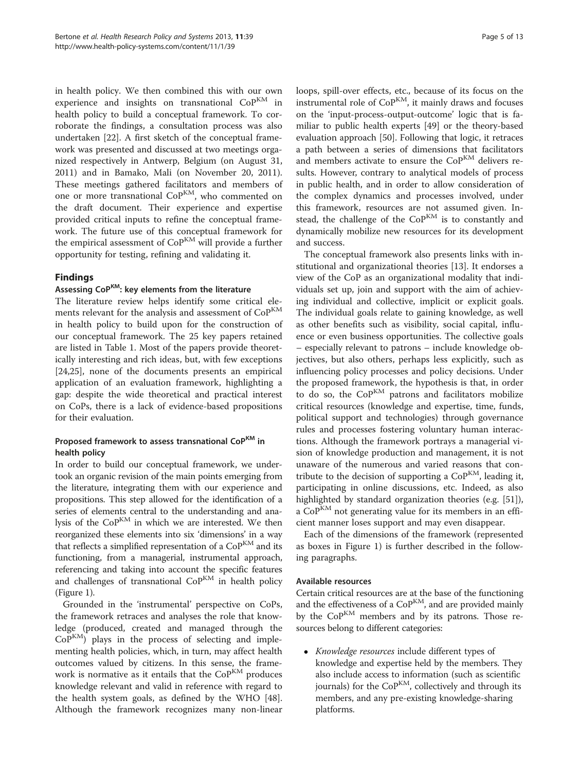in health policy. We then combined this with our own experience and insights on transnational CoPKM in health policy to build a conceptual framework. To corroborate the findings, a consultation process was also undertaken [[22](#page-12-0)]. A first sketch of the conceptual framework was presented and discussed at two meetings organized respectively in Antwerp, Belgium (on August 31, 2011) and in Bamako, Mali (on November 20, 2011). These meetings gathered facilitators and members of one or more transnational CoP<sup>KM</sup>, who commented on the draft document. Their experience and expertise provided critical inputs to refine the conceptual framework. The future use of this conceptual framework for the empirical assessment of CoP<sup>KM</sup> will provide a further opportunity for testing, refining and validating it.

#### Findings

#### Assessing CoPKM: key elements from the literature

The literature review helps identify some critical elements relevant for the analysis and assessment of CoP<sup>KM</sup> in health policy to build upon for the construction of our conceptual framework. The 25 key papers retained are listed in Table [1](#page-5-0). Most of the papers provide theoretically interesting and rich ideas, but, with few exceptions [[24,25\]](#page-12-0), none of the documents presents an empirical application of an evaluation framework, highlighting a gap: despite the wide theoretical and practical interest on CoPs, there is a lack of evidence-based propositions for their evaluation.

#### Proposed framework to assess transnational CoP<sup>KM</sup> in health policy

In order to build our conceptual framework, we undertook an organic revision of the main points emerging from the literature, integrating them with our experience and propositions. This step allowed for the identification of a series of elements central to the understanding and analysis of the CoP<sup>KM</sup> in which we are interested. We then reorganized these elements into six 'dimensions' in a way that reflects a simplified representation of a  $CoP<sup>KM</sup>$  and its functioning, from a managerial, instrumental approach, referencing and taking into account the specific features and challenges of transnational CoP<sup>KM</sup> in health policy (Figure [1](#page-6-0)).

Grounded in the 'instrumental' perspective on CoPs, the framework retraces and analyses the role that knowledge (produced, created and managed through the  $CoP<sup>KM</sup>$ ) plays in the process of selecting and implementing health policies, which, in turn, may affect health outcomes valued by citizens. In this sense, the framework is normative as it entails that the  $CoP<sup>KM</sup>$  produces knowledge relevant and valid in reference with regard to the health system goals, as defined by the WHO [\[48](#page-12-0)]. Although the framework recognizes many non-linear loops, spill-over effects, etc., because of its focus on the instrumental role of  $\mathrm{CoP}^{\mathrm{KM}}$ , it mainly draws and focuses on the 'input-process-output-outcome' logic that is familiar to public health experts [[49](#page-12-0)] or the theory-based evaluation approach [\[50](#page-12-0)]. Following that logic, it retraces a path between a series of dimensions that facilitators and members activate to ensure the CoP<sup>KM</sup> delivers results. However, contrary to analytical models of process in public health, and in order to allow consideration of the complex dynamics and processes involved, under this framework, resources are not assumed given. Instead, the challenge of the CoP<sup>KM</sup> is to constantly and dynamically mobilize new resources for its development and success.

The conceptual framework also presents links with institutional and organizational theories [\[13\]](#page-12-0). It endorses a view of the CoP as an organizational modality that individuals set up, join and support with the aim of achieving individual and collective, implicit or explicit goals. The individual goals relate to gaining knowledge, as well as other benefits such as visibility, social capital, influence or even business opportunities. The collective goals – especially relevant to patrons – include knowledge objectives, but also others, perhaps less explicitly, such as influencing policy processes and policy decisions. Under the proposed framework, the hypothesis is that, in order to do so, the  $CoP<sup>KM</sup>$  patrons and facilitators mobilize critical resources (knowledge and expertise, time, funds, political support and technologies) through governance rules and processes fostering voluntary human interactions. Although the framework portrays a managerial vision of knowledge production and management, it is not unaware of the numerous and varied reasons that contribute to the decision of supporting a  $CoP^{KM}$ , leading it, participating in online discussions, etc. Indeed, as also highlighted by standard organization theories (e.g. [\[51](#page-12-0)]), a  $CoP<sup>KM</sup>$  not generating value for its members in an efficient manner loses support and may even disappear.

Each of the dimensions of the framework (represented as boxes in Figure [1\)](#page-6-0) is further described in the following paragraphs.

#### Available resources

Certain critical resources are at the base of the functioning and the effectiveness of a CoP<sup>KM</sup>, and are provided mainly by the  $CoP<sup>KM</sup>$  members and by its patrons. Those resources belong to different categories:

 Knowledge resources include different types of knowledge and expertise held by the members. They also include access to information (such as scientific journals) for the  $CoP<sup>KM</sup>$ , collectively and through its members, and any pre-existing knowledge-sharing platforms.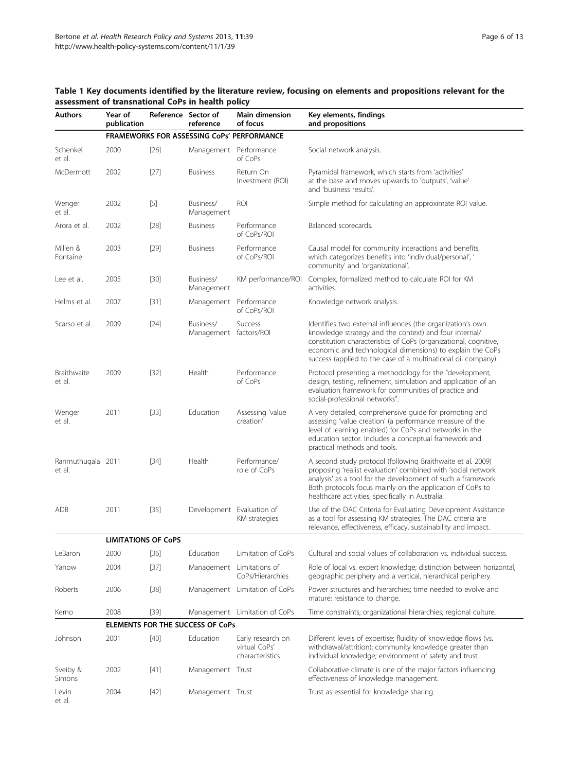| <b>Authors</b>              | Year of<br>publication                  |        | Reference Sector of<br>reference | <b>Main dimension</b><br>of focus                     | Key elements, findings<br>and propositions                                                                                                                                                                                                                                                                              |  |  |
|-----------------------------|-----------------------------------------|--------|----------------------------------|-------------------------------------------------------|-------------------------------------------------------------------------------------------------------------------------------------------------------------------------------------------------------------------------------------------------------------------------------------------------------------------------|--|--|
|                             |                                         |        |                                  | <b>FRAMEWORKS FOR ASSESSING CoPs' PERFORMANCE</b>     |                                                                                                                                                                                                                                                                                                                         |  |  |
| Schenkel<br>et al.          | 2000                                    | $[26]$ | Management Performance           | of CoPs                                               | Social network analysis.                                                                                                                                                                                                                                                                                                |  |  |
| McDermott                   | 2002                                    | $[27]$ | <b>Business</b>                  | Return On<br>Investment (ROI)                         | Pyramidal framework, which starts from 'activities'<br>at the base and moves upwards to 'outputs', 'value'<br>and 'business results'.                                                                                                                                                                                   |  |  |
| Wenger<br>et al.            | 2002                                    | $[5]$  | Business/<br>Management          | ROI                                                   | Simple method for calculating an approximate ROI value.                                                                                                                                                                                                                                                                 |  |  |
| Arora et al.                | 2002                                    | $[28]$ | <b>Business</b>                  | Performance<br>of CoPs/ROI                            | Balanced scorecards.                                                                                                                                                                                                                                                                                                    |  |  |
| Millen &<br>Fontaine        | 2003                                    | $[29]$ | <b>Business</b>                  | Performance<br>of CoPs/ROI                            | Causal model for community interactions and benefits,<br>which categorizes benefits into 'individual/personal', '<br>community' and 'organizational'.                                                                                                                                                                   |  |  |
| Lee et al.                  | 2005                                    | $[30]$ | Business/<br>Management          | KM performance/ROI                                    | Complex, formalized method to calculate ROI for KM<br>activities.                                                                                                                                                                                                                                                       |  |  |
| Helms et al.                | 2007                                    | $[31]$ | Management                       | Performance<br>of CoPs/ROI                            | Knowledge network analysis.                                                                                                                                                                                                                                                                                             |  |  |
| Scarso et al.               | 2009                                    | $[24]$ | Business/<br>Management          | Success<br>factors/ROI                                | Identifies two external influences (the organization's own<br>knowledge strategy and the context) and four internal/<br>constitution characteristics of CoPs (organizational, cognitive,<br>economic and technological dimensions) to explain the CoPs<br>success (applied to the case of a multinational oil company). |  |  |
| Braithwaite<br>et al.       | 2009                                    | $[32]$ | Health                           | Performance<br>of CoPs                                | Protocol presenting a methodology for the "development,<br>design, testing, refinement, simulation and application of an<br>evaluation framework for communities of practice and<br>social-professional networks".                                                                                                      |  |  |
| Wenger<br>et al.            | 2011                                    | $[33]$ | Education                        | Assessing 'value<br>creation'                         | A very detailed, comprehensive guide for promoting and<br>assessing 'value creation' (a performance measure of the<br>level of learning enabled) for CoPs and networks in the<br>education sector. Includes a conceptual framework and<br>practical methods and tools.                                                  |  |  |
| Ranmuthugala 2011<br>et al. |                                         | $[34]$ | Health                           | Performance/<br>role of CoPs                          | A second study protocol (following Braithwaite et al. 2009)<br>proposing 'realist evaluation' combined with 'social network<br>analysis' as a tool for the development of such a framework.<br>Both protocols focus mainly on the application of CoPs to<br>healthcare activities, specifically in Australia.           |  |  |
| ADB                         | 2011                                    | $[35]$ |                                  | Development Evaluation of<br>KM strategies            | Use of the DAC Criteria for Evaluating Development Assistance<br>as a tool for assessing KM strategies. The DAC criteria are<br>relevance, effectiveness, efficacy, sustainability and impact.                                                                                                                          |  |  |
|                             | <b>LIMITATIONS OF CoPS</b>              |        |                                  |                                                       |                                                                                                                                                                                                                                                                                                                         |  |  |
| LeBaron                     | 2000                                    | $[36]$ | Education                        | Limitation of CoPs                                    | Cultural and social values of collaboration vs. individual success.                                                                                                                                                                                                                                                     |  |  |
| Yanow                       | 2004                                    | [37]   | Management                       | Limitations of<br>CoPs/Hierarchies                    | Role of local vs. expert knowledge; distinction between horizontal,<br>geographic periphery and a vertical, hierarchical periphery.                                                                                                                                                                                     |  |  |
| Roberts                     | 2006                                    | $[38]$ |                                  | Management Limitation of CoPs                         | Power structures and hierarchies; time needed to evolve and<br>mature; resistance to change.                                                                                                                                                                                                                            |  |  |
| Kerno                       | 2008                                    | $[39]$ |                                  | Management Limitation of CoPs                         | Time constraints; organizational hierarchies; regional culture.                                                                                                                                                                                                                                                         |  |  |
|                             | <b>ELEMENTS FOR THE SUCCESS OF CoPs</b> |        |                                  |                                                       |                                                                                                                                                                                                                                                                                                                         |  |  |
| Johnson                     | 2001                                    | $[40]$ | Education                        | Early research on<br>virtual CoPs'<br>characteristics | Different levels of expertise; fluidity of knowledge flows (vs.<br>withdrawal/attrition); community knowledge greater than<br>individual knowledge; environment of safety and trust.                                                                                                                                    |  |  |
| Sveiby &<br>Simons          | 2002                                    | $[41]$ | Management Trust                 |                                                       | Collaborative climate is one of the major factors influencing<br>effectiveness of knowledge management.                                                                                                                                                                                                                 |  |  |
| Levin<br>et al.             | 2004                                    | $[42]$ | Management Trust                 |                                                       | Trust as essential for knowledge sharing.                                                                                                                                                                                                                                                                               |  |  |

#### <span id="page-5-0"></span>Table 1 Key documents identified by the literature review, focusing on elements and propositions relevant for the assessment of transnational CoPs in health policy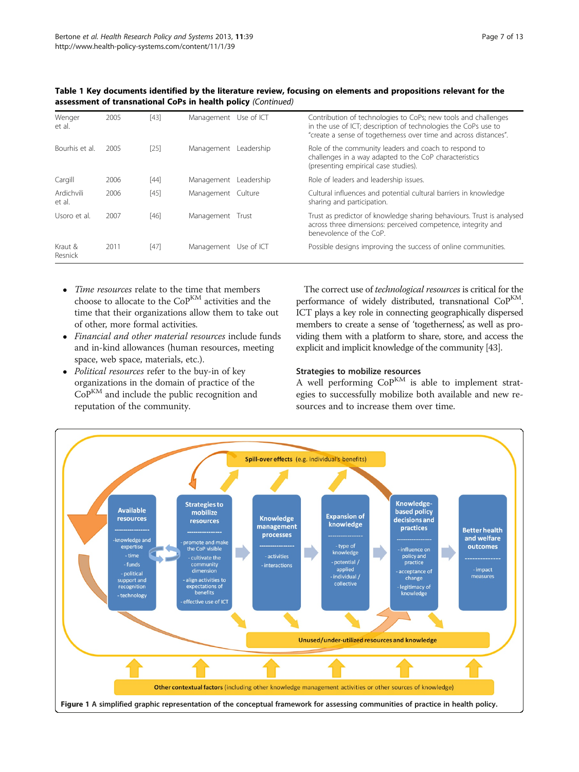| Wenger<br>et al.     | 2005 | $[43]$ | Management Use of ICT |            | Contribution of technologies to CoPs; new tools and challenges<br>in the use of ICT; description of technologies the CoPs use to<br>"create a sense of togetherness over time and across distances". |
|----------------------|------|--------|-----------------------|------------|------------------------------------------------------------------------------------------------------------------------------------------------------------------------------------------------------|
| Bourhis et al.       | 2005 | $[25]$ | Management            | Leadership | Role of the community leaders and coach to respond to<br>challenges in a way adapted to the CoP characteristics<br>(presenting empirical case studies).                                              |
| Cargill              | 2006 | $[44]$ | Management Leadership |            | Role of leaders and leadership issues.                                                                                                                                                               |
| Ardichvili<br>et al. | 2006 | $[45]$ | Management Culture    |            | Cultural influences and potential cultural barriers in knowledge<br>sharing and participation.                                                                                                       |
| Usoro et al.         | 2007 | $[46]$ | Management Trust      |            | Trust as predictor of knowledge sharing behaviours. Trust is analysed<br>across three dimensions: perceived competence, integrity and<br>benevolence of the CoP.                                     |
| Kraut &<br>Resnick   | 2011 | $[47]$ | Management Use of ICT |            | Possible designs improving the success of online communities.                                                                                                                                        |

<span id="page-6-0"></span>Table 1 Key documents identified by the literature review, focusing on elements and propositions relevant for the assessment of transnational CoPs in health policy (Continued)

- Time resources relate to the time that members choose to allocate to the CoP<sup>KM</sup> activities and the time that their organizations allow them to take out of other, more formal activities.
- Financial and other material resources include funds and in-kind allowances (human resources, meeting space, web space, materials, etc.).
- Political resources refer to the buy-in of key organizations in the domain of practice of the CoP<sup>KM</sup> and include the public recognition and reputation of the community.

The correct use of technological resources is critical for the performance of widely distributed, transnational CoPKM. ICT plays a key role in connecting geographically dispersed members to create a sense of 'togetherness' as well as providing them with a platform to share, store, and access the explicit and implicit knowledge of the community [[43](#page-12-0)].

#### Strategies to mobilize resources

A well performing  $CoP^{KM}$  is able to implement strategies to successfully mobilize both available and new resources and to increase them over time.

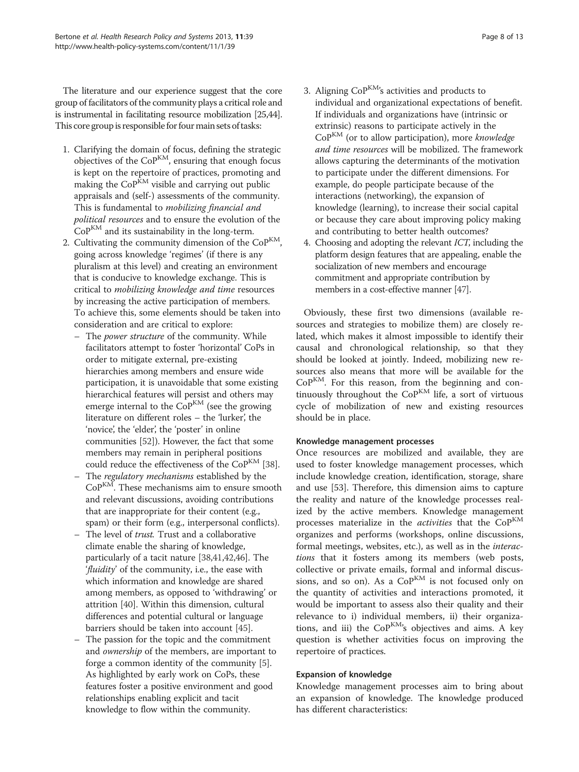The literature and our experience suggest that the core group of facilitators of the community plays a critical role and is instrumental in facilitating resource mobilization [[25,44](#page-12-0)]. This core group is responsible for four main sets of tasks:

- 1. Clarifying the domain of focus, defining the strategic objectives of the  $CoP^{KM}$ , ensuring that enough focus is kept on the repertoire of practices, promoting and making the  $CoP^{KM}$  visible and carrying out public appraisals and (self-) assessments of the community. This is fundamental to mobilizing financial and political resources and to ensure the evolution of the CoPKM and its sustainability in the long-term.
- 2. Cultivating the community dimension of the  $CoP^{KM}$ , going across knowledge 'regimes' (if there is any pluralism at this level) and creating an environment that is conducive to knowledge exchange. This is critical to mobilizing knowledge and time resources by increasing the active participation of members. To achieve this, some elements should be taken into consideration and are critical to explore:
	- The power structure of the community. While facilitators attempt to foster 'horizontal' CoPs in order to mitigate external, pre-existing hierarchies among members and ensure wide participation, it is unavoidable that some existing hierarchical features will persist and others may emerge internal to the  $CoP^{KM}$  (see the growing literature on different roles – the 'lurker', the 'novice', the 'elder', the 'poster' in online communities [\[52](#page-12-0)]). However, the fact that some members may remain in peripheral positions could reduce the effectiveness of the  $CoP<sup>KM</sup>$  [\[38\]](#page-12-0).
	- The regulatory mechanisms established by the  $CoP<sup>KM</sup>$ . These mechanisms aim to ensure smooth and relevant discussions, avoiding contributions that are inappropriate for their content (e.g., spam) or their form (e.g., interpersonal conflicts).
	- The level of trust. Trust and a collaborative climate enable the sharing of knowledge, particularly of a tacit nature [\[38,41,42](#page-12-0),[46](#page-12-0)]. The 'fluidity' of the community, i.e., the ease with which information and knowledge are shared among members, as opposed to 'withdrawing' or attrition [\[40\]](#page-12-0). Within this dimension, cultural differences and potential cultural or language barriers should be taken into account [\[45\]](#page-12-0).
	- The passion for the topic and the commitment and ownership of the members, are important to forge a common identity of the community [[5](#page-11-0)]. As highlighted by early work on CoPs, these features foster a positive environment and good relationships enabling explicit and tacit knowledge to flow within the community.
- 3. Aligning  $CoP<sup>KM</sup>$ 's activities and products to individual and organizational expectations of benefit. If individuals and organizations have (intrinsic or extrinsic) reasons to participate actively in the  $CoP<sup>KM</sup>$  (or to allow participation), more knowledge and time resources will be mobilized. The framework allows capturing the determinants of the motivation to participate under the different dimensions. For example, do people participate because of the interactions (networking), the expansion of knowledge (learning), to increase their social capital or because they care about improving policy making and contributing to better health outcomes?
- 4. Choosing and adopting the relevant ICT, including the platform design features that are appealing, enable the socialization of new members and encourage commitment and appropriate contribution by members in a cost-effective manner [\[47\]](#page-12-0).

Obviously, these first two dimensions (available resources and strategies to mobilize them) are closely related, which makes it almost impossible to identify their causal and chronological relationship, so that they should be looked at jointly. Indeed, mobilizing new resources also means that more will be available for the  $CoP<sup>KM</sup>$ . For this reason, from the beginning and continuously throughout the  $CoP<sup>KM</sup>$  life, a sort of virtuous cycle of mobilization of new and existing resources should be in place.

#### Knowledge management processes

Once resources are mobilized and available, they are used to foster knowledge management processes, which include knowledge creation, identification, storage, share and use [[53\]](#page-12-0). Therefore, this dimension aims to capture the reality and nature of the knowledge processes realized by the active members. Knowledge management processes materialize in the *activities* that the CoP<sup>KM</sup> organizes and performs (workshops, online discussions, formal meetings, websites, etc.), as well as in the interactions that it fosters among its members (web posts, collective or private emails, formal and informal discussions, and so on). As a  $CoP^{KM}$  is not focused only on the quantity of activities and interactions promoted, it would be important to assess also their quality and their relevance to i) individual members, ii) their organizations, and iii) the CoPKM's objectives and aims. A key question is whether activities focus on improving the repertoire of practices.

#### Expansion of knowledge

Knowledge management processes aim to bring about an expansion of knowledge. The knowledge produced has different characteristics: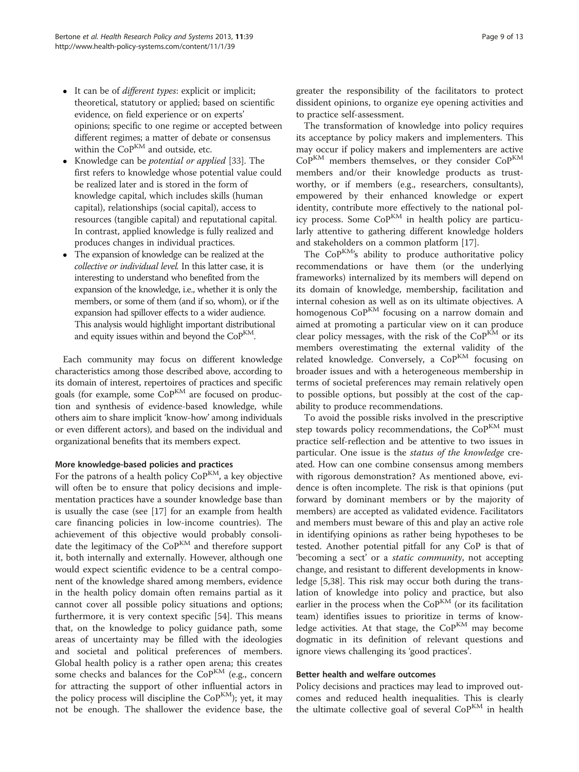- <span id="page-8-0"></span> $\bullet$  It can be of *different types*: explicit or implicit; theoretical, statutory or applied; based on scientific evidence, on field experience or on experts' opinions; specific to one regime or accepted between different regimes; a matter of debate or consensus within the  $CoP<sup>KM</sup>$  and outside, etc.
- Knowledge can be potential or applied [\[33](#page-12-0)]. The first refers to knowledge whose potential value could be realized later and is stored in the form of knowledge capital, which includes skills (human capital), relationships (social capital), access to resources (tangible capital) and reputational capital. In contrast, applied knowledge is fully realized and produces changes in individual practices.
- The expansion of knowledge can be realized at the collective or individual level. In this latter case, it is interesting to understand who benefited from the expansion of the knowledge, i.e., whether it is only the members, or some of them (and if so, whom), or if the expansion had spillover effects to a wider audience. This analysis would highlight important distributional and equity issues within and beyond the  $CoP<sup>KM</sup>$ .

Each community may focus on different knowledge characteristics among those described above, according to its domain of interest, repertoires of practices and specific goals (for example, some  $CoP<sup>KM</sup>$  are focused on production and synthesis of evidence-based knowledge, while others aim to share implicit 'know-how' among individuals or even different actors), and based on the individual and organizational benefits that its members expect.

#### More knowledge-based policies and practices

For the patrons of a health policy  $CoP^{KM}$ , a key objective will often be to ensure that policy decisions and implementation practices have a sounder knowledge base than is usually the case (see [[17\]](#page-12-0) for an example from health care financing policies in low-income countries). The achievement of this objective would probably consolidate the legitimacy of the  $CoP<sup>KM</sup>$  and therefore support it, both internally and externally. However, although one would expect scientific evidence to be a central component of the knowledge shared among members, evidence in the health policy domain often remains partial as it cannot cover all possible policy situations and options; furthermore, it is very context specific [[54\]](#page-12-0). This means that, on the knowledge to policy guidance path, some areas of uncertainty may be filled with the ideologies and societal and political preferences of members. Global health policy is a rather open arena; this creates some checks and balances for the  $CoP<sup>KM</sup>$  (e.g., concern for attracting the support of other influential actors in the policy process will discipline the  $CoP^{KM}$ ); yet, it may not be enough. The shallower the evidence base, the greater the responsibility of the facilitators to protect dissident opinions, to organize eye opening activities and to practice self-assessment.

The transformation of knowledge into policy requires its acceptance by policy makers and implementers. This may occur if policy makers and implementers are active  $CoP<sup>KM</sup>$  members themselves, or they consider  $CoP<sup>KM</sup>$ members and/or their knowledge products as trustworthy, or if members (e.g., researchers, consultants), empowered by their enhanced knowledge or expert identity, contribute more effectively to the national policy process. Some CoP<sup>KM</sup> in health policy are particularly attentive to gathering different knowledge holders and stakeholders on a common platform [[17\]](#page-12-0).

The  $CoP^{KM}$ 's ability to produce authoritative policy recommendations or have them (or the underlying frameworks) internalized by its members will depend on its domain of knowledge, membership, facilitation and internal cohesion as well as on its ultimate objectives. A homogenous CoP<sup>KM</sup> focusing on a narrow domain and aimed at promoting a particular view on it can produce clear policy messages, with the risk of the  $CoP<sup>KM</sup>$  or its members overestimating the external validity of the related knowledge. Conversely, a  $CoP<sup>KM</sup>$  focusing on broader issues and with a heterogeneous membership in terms of societal preferences may remain relatively open to possible options, but possibly at the cost of the capability to produce recommendations.

To avoid the possible risks involved in the prescriptive step towards policy recommendations, the  $CoP<sup>KM</sup>$  must practice self-reflection and be attentive to two issues in particular. One issue is the status of the knowledge created. How can one combine consensus among members with rigorous demonstration? As mentioned above, evidence is often incomplete. The risk is that opinions (put forward by dominant members or by the majority of members) are accepted as validated evidence. Facilitators and members must beware of this and play an active role in identifying opinions as rather being hypotheses to be tested. Another potential pitfall for any CoP is that of 'becoming a sect' or a static community, not accepting change, and resistant to different developments in knowledge [[5,](#page-11-0)[38\]](#page-12-0). This risk may occur both during the translation of knowledge into policy and practice, but also earlier in the process when the  $CoP<sup>KM</sup>$  (or its facilitation team) identifies issues to prioritize in terms of knowledge activities. At that stage, the  $CoP<sup>KM</sup>$  may become dogmatic in its definition of relevant questions and ignore views challenging its 'good practices'.

#### Better health and welfare outcomes

Policy decisions and practices may lead to improved outcomes and reduced health inequalities. This is clearly the ultimate collective goal of several  $\mathrm{Co}^\mathrm{KM}$  in health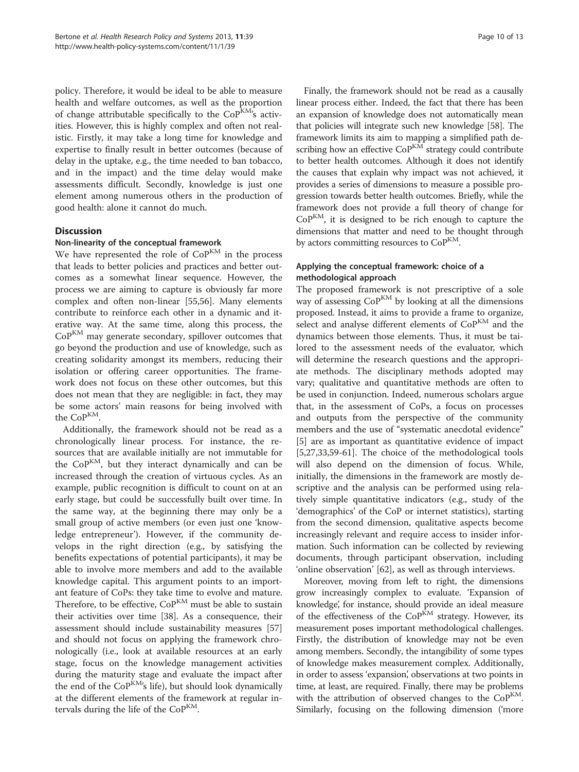policy. Therefore, it would be ideal to be able to measure health and welfare outcomes, as well as the proportion of change attributable specifically to the  $CoP<sup>KM</sup>$ 's activities. However, this is highly complex and often not realistic. Firstly, it may take a long time for knowledge and expertise to finally result in better outcomes (because of delay in the uptake, e.g., the time needed to ban tobacco, and in the impact) and the time delay would make assessments difficult. Secondly, knowledge is just one element among numerous others in the production of good health: alone it cannot do much.

#### **Discussion**

#### Non-linearity of the conceptual framework

We have represented the role of  $CoP<sup>KM</sup>$  in the process that leads to better policies and practices and better outcomes as a somewhat linear sequence. However, the process we are aiming to capture is obviously far more complex and often non-linear [\[55,56](#page-12-0)]. Many elements contribute to reinforce each other in a dynamic and iterative way. At the same time, along this process, the  $CoP<sup>KM</sup>$  may generate secondary, spillover outcomes that go beyond the production and use of knowledge, such as creating solidarity amongst its members, reducing their isolation or offering career opportunities. The framework does not focus on these other outcomes, but this does not mean that they are negligible: in fact, they may be some actors' main reasons for being involved with the CoP<sup>KM</sup>.

Additionally, the framework should not be read as a chronologically linear process. For instance, the resources that are available initially are not immutable for the  $CoP<sup>KM</sup>$ , but they interact dynamically and can be increased through the creation of virtuous cycles. As an example, public recognition is difficult to count on at an early stage, but could be successfully built over time. In the same way, at the beginning there may only be a small group of active members (or even just one 'knowledge entrepreneur'). However, if the community develops in the right direction (e.g., by satisfying the benefits expectations of potential participants), it may be able to involve more members and add to the available knowledge capital. This argument points to an important feature of CoPs: they take time to evolve and mature. Therefore, to be effective,  $\mathrm{Co}P^{\mathrm{KM}}$  must be able to sustain their activities over time [[38](#page-12-0)]. As a consequence, their assessment should include sustainability measures [[57](#page-12-0)] and should not focus on applying the framework chronologically (i.e., look at available resources at an early stage, focus on the knowledge management activities during the maturity stage and evaluate the impact after the end of the CoPKM's life), but should look dynamically at the different elements of the framework at regular intervals during the life of the  $CoP^{KM}$ .

Finally, the framework should not be read as a causally linear process either. Indeed, the fact that there has been an expansion of knowledge does not automatically mean that policies will integrate such new knowledge [\[58](#page-12-0)]. The framework limits its aim to mapping a simplified path describing how an effective CoP<sup>KM</sup> strategy could contribute to better health outcomes. Although it does not identify the causes that explain why impact was not achieved, it provides a series of dimensions to measure a possible progression towards better health outcomes. Briefly, while the framework does not provide a full theory of change for  $CoP<sup>KM</sup>$ , it is designed to be rich enough to capture the dimensions that matter and need to be thought through by actors committing resources to  $CoP<sup>KM</sup>$ .

#### Applying the conceptual framework: choice of a methodological approach

The proposed framework is not prescriptive of a sole way of assessing CoP<sup>KM</sup> by looking at all the dimensions proposed. Instead, it aims to provide a frame to organize, select and analyse different elements of CoPKM and the dynamics between those elements. Thus, it must be tailored to the assessment needs of the evaluator, which will determine the research questions and the appropriate methods. The disciplinary methods adopted may vary; qualitative and quantitative methods are often to be used in conjunction. Indeed, numerous scholars argue that, in the assessment of CoPs, a focus on processes and outputs from the perspective of the community members and the use of "systematic anecdotal evidence" [[5\]](#page-11-0) are as important as quantitative evidence of impact [[5,](#page-11-0)[27,33,59-61](#page-12-0)]. The choice of the methodological tools will also depend on the dimension of focus. While, initially, the dimensions in the framework are mostly descriptive and the analysis can be performed using relatively simple quantitative indicators (e.g., study of the 'demographics' of the CoP or internet statistics), starting from the second dimension, qualitative aspects become increasingly relevant and require access to insider information. Such information can be collected by reviewing documents, through participant observation, including 'online observation' [[62](#page-12-0)], as well as through interviews.

Moreover, moving from left to right, the dimensions grow increasingly complex to evaluate. 'Expansion of knowledge', for instance, should provide an ideal measure of the effectiveness of the  $CoP<sup>KM</sup>$  strategy. However, its measurement poses important methodological challenges. Firstly, the distribution of knowledge may not be even among members. Secondly, the intangibility of some types of knowledge makes measurement complex. Additionally, in order to assess 'expansion', observations at two points in time, at least, are required. Finally, there may be problems with the attribution of observed changes to the  $CoP^{KM}$ . Similarly, focusing on the following dimension ('[more](#page-8-0)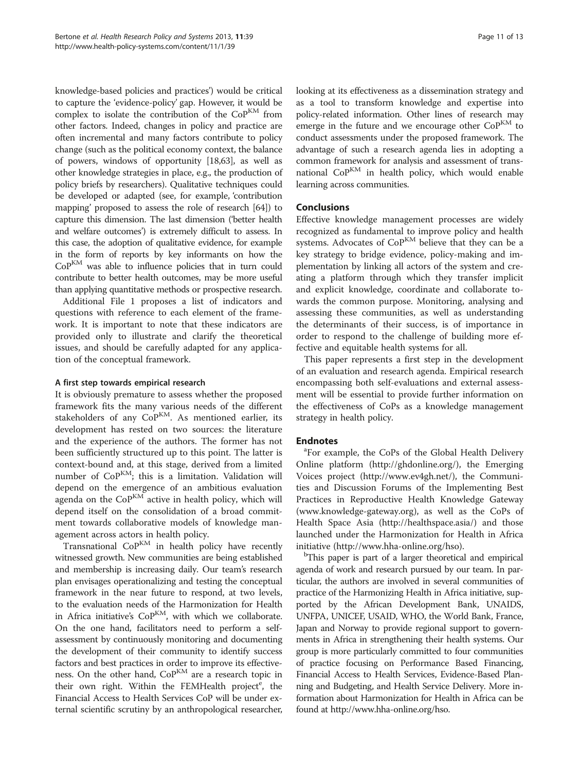[knowledge-based policies and practices](#page-8-0)') would be critical to capture the 'evidence-policy' gap. However, it would be complex to isolate the contribution of the  $CoP<sup>KM</sup>$  from other factors. Indeed, changes in policy and practice are often incremental and many factors contribute to policy change (such as the political economy context, the balance of powers, windows of opportunity [[18,63\]](#page-12-0), as well as other knowledge strategies in place, e.g., the production of policy briefs by researchers). Qualitative techniques could be developed or adapted (see, for example, 'contribution mapping' proposed to assess the role of research [\[64\]](#page-12-0)) to capture this dimension. The last dimension ('[better health](#page-8-0) [and welfare outcomes](#page-8-0)') is extremely difficult to assess. In this case, the adoption of qualitative evidence, for example in the form of reports by key informants on how the CoP<sup>KM</sup> was able to influence policies that in turn could contribute to better health outcomes, may be more useful than applying quantitative methods or prospective research.

Additional File [1](#page-11-0) proposes a list of indicators and questions with reference to each element of the framework. It is important to note that these indicators are provided only to illustrate and clarify the theoretical issues, and should be carefully adapted for any application of the conceptual framework.

#### A first step towards empirical research

It is obviously premature to assess whether the proposed framework fits the many various needs of the different stakeholders of any  $CoP<sup>KM</sup>$ . As mentioned earlier, its development has rested on two sources: the literature and the experience of the authors. The former has not been sufficiently structured up to this point. The latter is context-bound and, at this stage, derived from a limited number of  $CoP^{KM}$ ; this is a limitation. Validation will depend on the emergence of an ambitious evaluation agenda on the  $CoP^{KM}$  active in health policy, which will depend itself on the consolidation of a broad commitment towards collaborative models of knowledge management across actors in health policy.

Transnational  $CoP<sup>KM</sup>$  in health policy have recently witnessed growth. New communities are being established and membership is increasing daily. Our team's research plan envisages operationalizing and testing the conceptual framework in the near future to respond, at two levels, to the evaluation needs of the Harmonization for Health in Africa initiative's  $CoP<sup>KM</sup>$ , with which we collaborate. On the one hand, facilitators need to perform a selfassessment by continuously monitoring and documenting the development of their community to identify success factors and best practices in order to improve its effectiveness. On the other hand, CoPKM are a research topic in their own right. Within the FEMHealth project<sup>e</sup>, the Financial Access to Health Services CoP will be under external scientific scrutiny by an anthropological researcher, looking at its effectiveness as a dissemination strategy and as a tool to transform knowledge and expertise into policy-related information. Other lines of research may emerge in the future and we encourage other  $CoP<sup>KM</sup>$  to conduct assessments under the proposed framework. The advantage of such a research agenda lies in adopting a common framework for analysis and assessment of transnational  $CoP^{KM}$  in health policy, which would enable learning across communities.

#### Conclusions

Effective knowledge management processes are widely recognized as fundamental to improve policy and health systems. Advocates of CoP<sup>KM</sup> believe that they can be a key strategy to bridge evidence, policy-making and implementation by linking all actors of the system and creating a platform through which they transfer implicit and explicit knowledge, coordinate and collaborate towards the common purpose. Monitoring, analysing and assessing these communities, as well as understanding the determinants of their success, is of importance in order to respond to the challenge of building more effective and equitable health systems for all.

This paper represents a first step in the development of an evaluation and research agenda. Empirical research encompassing both self-evaluations and external assessment will be essential to provide further information on the effectiveness of CoPs as a knowledge management strategy in health policy.

#### **Endnotes**

<sup>a</sup>For example, the CoPs of the Global Health Delivery Online platform [\(http://ghdonline.org/](http://ghdonline.org/)), the Emerging Voices project (<http://www.ev4gh.net/>), the Communities and Discussion Forums of the Implementing Best Practices in Reproductive Health Knowledge Gateway ([www.knowledge-gateway.org\)](http://www.knowledge-gateway.org), as well as the CoPs of Health Space Asia [\(http://healthspace.asia/\)](http://healthspace.asia/) and those launched under the Harmonization for Health in Africa initiative [\(http://www.hha-online.org/hso\)](http://www.hha-online.org/hso).

<sup>b</sup>This paper is part of a larger theoretical and empirical agenda of work and research pursued by our team. In particular, the authors are involved in several communities of practice of the Harmonizing Health in Africa initiative, supported by the African Development Bank, UNAIDS, UNFPA, UNICEF, USAID, WHO, the World Bank, France, Japan and Norway to provide regional support to governments in Africa in strengthening their health systems. Our group is more particularly committed to four communities of practice focusing on Performance Based Financing, Financial Access to Health Services, Evidence-Based Planning and Budgeting, and Health Service Delivery. More information about Harmonization for Health in Africa can be found at<http://www.hha-online.org/hso>.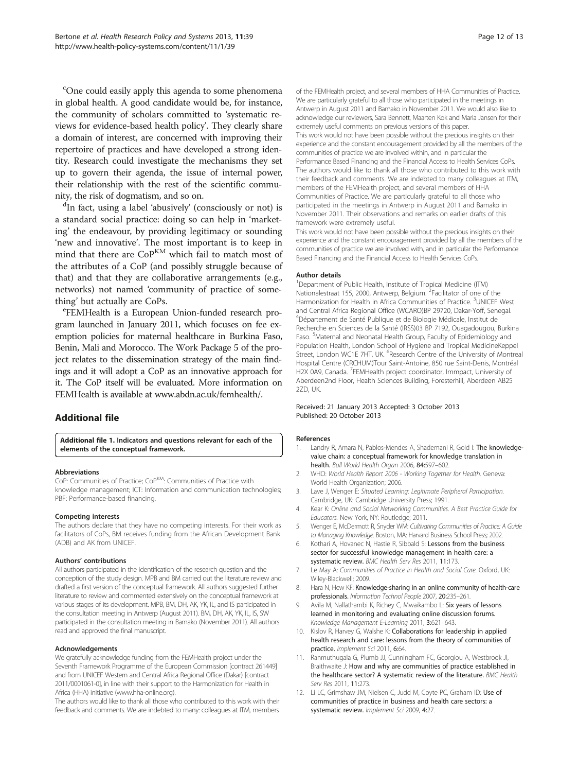<span id="page-11-0"></span><sup>c</sup>One could easily apply this agenda to some phenomena in global health. A good candidate would be, for instance, the community of scholars committed to 'systematic reviews for evidence-based health policy'. They clearly share a domain of interest, are concerned with improving their repertoire of practices and have developed a strong identity. Research could investigate the mechanisms they set up to govern their agenda, the issue of internal power, their relationship with the rest of the scientific community, the risk of dogmatism, and so on.

<sup>d</sup>In fact, using a label 'abusively' (consciously or not) is a standard social practice: doing so can help in 'marketing' the endeavour, by providing legitimacy or sounding 'new and innovative'. The most important is to keep in mind that there are CoP<sup>KM</sup> which fail to match most of the attributes of a CoP (and possibly struggle because of that) and that they are collaborative arrangements (e.g., networks) not named 'community of practice of something' but actually are CoPs.

FEMHealth is a European Union-funded research program launched in January 2011, which focuses on fee exemption policies for maternal healthcare in Burkina Faso, Benin, Mali and Morocco. The Work Package 5 of the project relates to the dissemination strategy of the main findings and it will adopt a CoP as an innovative approach for it. The CoP itself will be evaluated. More information on FEMHealth is available at [www.abdn.ac.uk/femhealth/](http://www.abdn.ac.uk/femhealth/).

#### Additional file

[Additional file 1.](http://www.biomedcentral.com/content/supplementary/1478-4505-11-39-S1.docx) Indicators and questions relevant for each of the elements of the conceptual framework.

#### Abbreviations

CoP: Communities of Practice; CoPKM: Communities of Practice with knowledge management; ICT: Information and communication technologies; PBF: Performance-based financing.

#### Competing interests

The authors declare that they have no competing interests. For their work as facilitators of CoPs, BM receives funding from the African Development Bank (ADB) and AK from UNICEF.

#### Authors' contributions

All authors participated in the identification of the research question and the conception of the study design. MPB and BM carried out the literature review and drafted a first version of the conceptual framework. All authors suggested further literature to review and commented extensively on the conceptual framework at various stages of its development. MPB, BM, DH, AK, YK, IL, and IS participated in the consultation meeting in Antwerp (August 2011). BM, DH, AK, YK, IL, IS, SW participated in the consultation meeting in Bamako (November 2011). All authors read and approved the final manuscript.

#### Acknowledgements

We gratefully acknowledge funding from the FEMHealth project under the Seventh Framework Programme of the European Commission [contract 261449] and from UNICEF Western and Central Africa Regional Office (Dakar) [contract 2011/0001061-0], in line with their support to the Harmonization for Health in Africa (HHA) initiative [\(www.hha-online.org\)](http://www.hha-online.org/).

The authors would like to thank all those who contributed to this work with their feedback and comments. We are indebted to many: colleagues at ITM, members

of the FEMHealth project, and several members of HHA Communities of Practice. We are particularly grateful to all those who participated in the meetings in Antwerp in August 2011 and Bamako in November 2011. We would also like to acknowledge our reviewers, Sara Bennett, Maarten Kok and Maria Jansen for their extremely useful comments on previous versions of this paper. This work would not have been possible without the precious insights on their experience and the constant encouragement provided by all the members of the communities of practice we are involved within, and in particular the Performance Based Financing and the Financial Access to Health Services CoPs. The authors would like to thank all those who contributed to this work with their feedback and comments. We are indebted to many colleagues at ITM, members of the FEMHealth project, and several members of HHA Communities of Practice. We are particularly grateful to all those who participated in the meetings in Antwerp in August 2011 and Bamako in November 2011. Their observations and remarks on earlier drafts of this framework were extremely useful.

This work would not have been possible without the precious insights on their experience and the constant encouragement provided by all the members of the communities of practice we are involved with, and in particular the Performance Based Financing and the Financial Access to Health Services CoPs.

#### Author details

<sup>1</sup>Department of Public Health, Institute of Tropical Medicine (ITM) Nationalestraat 155, 2000, Antwerp, Belgium. <sup>2</sup> Facilitator of one of the Harmonization for Health in Africa Communities of Practice.<sup>3</sup>UNICEF West and Central Africa Regional Office (WCARO)BP 29720, Dakar-Yoff, Senegal. 4 Département de Santé Publique et de Biologie Médicale, Institut de Recherche en Sciences de la Santé (IRSS)03 BP 7192, Ouagadougou, Burkina Faso. <sup>5</sup>Maternal and Neonatal Health Group, Faculty of Epidemiology and Population Health, London School of Hygiene and Tropical MedicineKeppel Street, London WC1E 7HT, UK. <sup>6</sup>Research Centre of the University of Montreal Hospital Centre (CRCHUM)Tour Saint-Antoine, 850 rue Saint-Denis, Montréal H2X 0A9, Canada. <sup>7</sup>FEMHealth project coordinator, Immpact, University of Aberdeen2nd Floor, Health Sciences Building, Foresterhill, Aberdeen AB25 2ZD, UK.

#### Received: 21 January 2013 Accepted: 3 October 2013 Published: 20 October 2013

#### References

- 1. Landry R, Amara N, Pablos-Mendes A, Shademani R, Gold I: The knowledgevalue chain: a conceptual framework for knowledge translation in health. Bull World Health Organ 2006, 84:597–602.
- 2. WHO: World Health Report 2006 Working Together for Health. Geneva: World Health Organization; 2006.
- 3. Lave J, Wenger E: Situated Learning: Legitimate Peripheral Participation. Cambridge, UK: Cambridge University Press; 1991.
- 4. Kear K: Online and Social Networking Communities. A Best Practice Guide for Educators. New York, NY: Routledge; 2011.
- 5. Wenger E, McDermott R, Snyder WM: Cultivating Communities of Practice: A Guide to Managing Knowledge. Boston, MA: Harvard Business School Press; 2002.
- 6. Kothari A, Hovanec N, Hastie R, Sibbald S: Lessons from the business sector for successful knowledge management in health care: a systematic review. BMC Health Serv Res 2011, 11:173.
- 7. Le May A: Communities of Practice in Health and Social Care. Oxford, UK: Wiley-Blackwell; 2009.
- 8. Hara N, Hew KF: Knowledge-sharing in an online community of health-care professionals. Information Technol People 2007, 20:235–261.
- 9. Avila M, Nallathambi K, Richey C, Mwaikambo L: Six years of lessons learned in monitoring and evaluating online discussion forums. Knowledge Management E-Learning 2011, 3:621–643.
- 10. Kislov R, Harvey G, Walshe K: Collaborations for leadership in applied health research and care: lessons from the theory of communities of practice. Implement Sci 2011, 6:64.
- 11. Ranmuthugala G, Plumb JJ, Cunningham FC, Georgiou A, Westbrook JI, Braithwaite J: How and why are communities of practice established in the healthcare sector? A systematic review of the literature. BMC Health Serv Res 2011, 11:273.
- 12. Li LC, Grimshaw JM, Nielsen C, Judd M, Coyte PC, Graham ID: Use of communities of practice in business and health care sectors: a systematic review. Implement Sci 2009, 4:27.